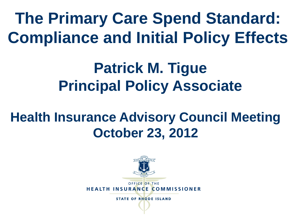**The Primary Care Spend Standard: Compliance and Initial Policy Effects**

#### **Patrick M. Tigue Principal Policy Associate**

#### **Health Insurance Advisory Council Meeting October 23, 2012**

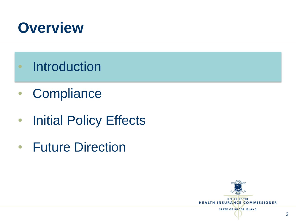

- Introduction
- Compliance
- Initial Policy Effects
- Future Direction

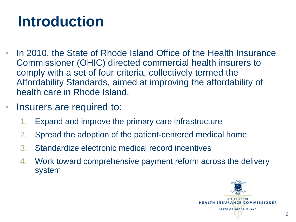## **Introduction**

- In 2010, the State of Rhode Island Office of the Health Insurance Commissioner (OHIC) directed commercial health insurers to comply with a set of four criteria, collectively termed the Affordability Standards, aimed at improving the affordability of health care in Rhode Island.
- Insurers are required to:
	- 1. Expand and improve the primary care infrastructure
	- 2. Spread the adoption of the patient-centered medical home
	- 3. Standardize electronic medical record incentives
	- 4. Work toward comprehensive payment reform across the delivery system

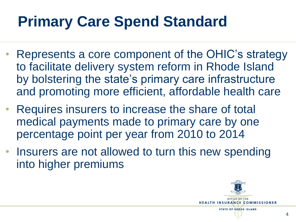## **Primary Care Spend Standard**

- Represents a core component of the OHIC's strategy to facilitate delivery system reform in Rhode Island by bolstering the state's primary care infrastructure and promoting more efficient, affordable health care
- Requires insurers to increase the share of total medical payments made to primary care by one percentage point per year from 2010 to 2014
- Insurers are not allowed to turn this new spending into higher premiums

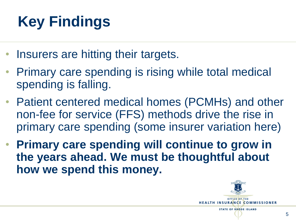# **Key Findings**

- Insurers are hitting their targets.
- Primary care spending is rising while total medical spending is falling.
- Patient centered medical homes (PCMHs) and other non-fee for service (FFS) methods drive the rise in primary care spending (some insurer variation here)
- **Primary care spending will continue to grow in the years ahead. We must be thoughtful about how we spend this money.**

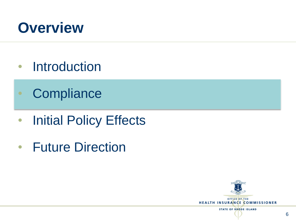

- Introduction
- Compliance
- Initial Policy Effects
- Future Direction

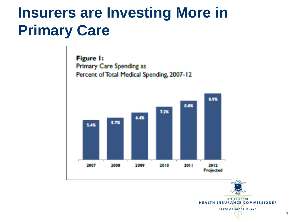#### **Insurers are Investing More in Primary Care**

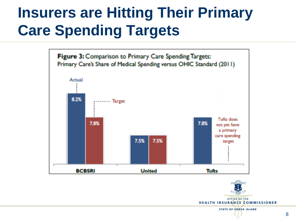### **Insurers are Hitting Their Primary Care Spending Targets**



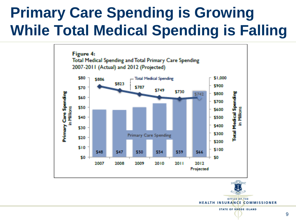### **Primary Care Spending is Growing While Total Medical Spending is Falling**





OFFICE OF THE **HEALTH INSURANCE COMMISSIONER**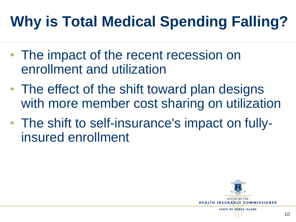# **Why is Total Medical Spending Falling?**

- The impact of the recent recession on enrollment and utilization
- The effect of the shift toward plan designs with more member cost sharing on utilization
- The shift to self-insurance's impact on fullyinsured enrollment

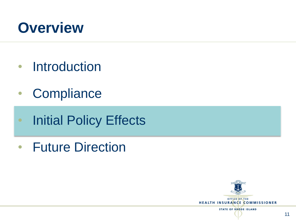

- Introduction
- Compliance
- Initial Policy Effects
- Future Direction

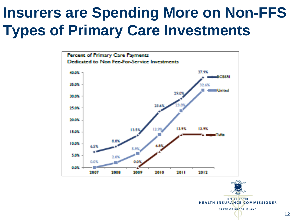#### **Insurers are Spending More on Non-FFS Types of Primary Care Investments**





**HEALTH INSURANCE COMMISSIONER**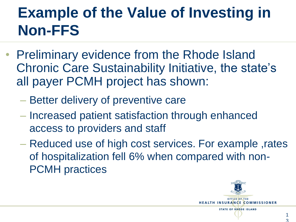### **Example of the Value of Investing in Non-FFS**

- Preliminary evidence from the Rhode Island Chronic Care Sustainability Initiative, the state's all payer PCMH project has shown:
	- Better delivery of preventive care
	- Increased patient satisfaction through enhanced access to providers and staff
	- Reduced use of high cost services. For example ,rates of hospitalization fell 6% when compared with non-PCMH practices

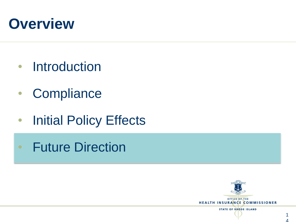#### **Overview**

- Introduction
- Compliance
- Initial Policy Effects
- Future Direction

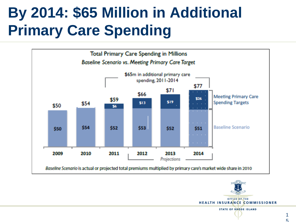### **By 2014: \$65 Million in Additional Primary Care Spending**



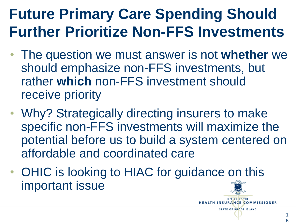### **Future Primary Care Spending Should Further Prioritize Non-FFS Investments**

- The question we must answer is not **whether** we should emphasize non-FFS investments, but rather **which** non-FFS investment should receive priority
- Why? Strategically directing insurers to make specific non-FFS investments will maximize the potential before us to build a system centered on affordable and coordinated care
- OHIC is looking to HIAC for guidance on this important issue

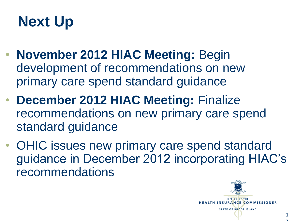## **Next Up**

- **November 2012 HIAC Meeting:** Begin development of recommendations on new primary care spend standard guidance
- **December 2012 HIAC Meeting:** Finalize recommendations on new primary care spend standard guidance
- OHIC issues new primary care spend standard guidance in December 2012 incorporating HIAC's recommendations

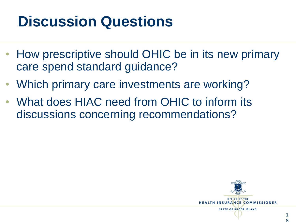### **Discussion Questions**

- How prescriptive should OHIC be in its new primary care spend standard guidance?
- Which primary care investments are working?
- What does HIAC need from OHIC to inform its discussions concerning recommendations?